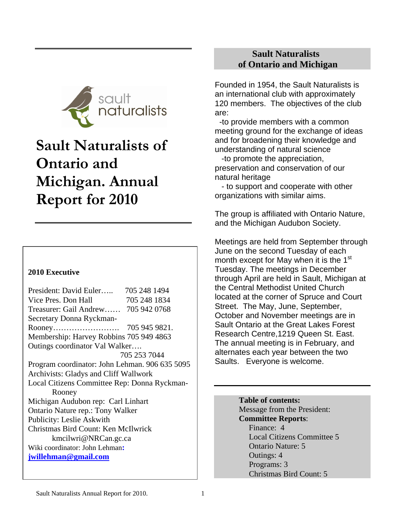

# **Sault Naturalists of Ontario and Michigan. Annual Report for 2010**

# **2010 Executive**

President: David Euler….. 705 248 1494 Vice Pres. Don Hall 705 248 1834 Treasurer: Gail Andrew…… 705 942 0768 Secretary Donna Ryckman-Rooney……………………. 705 945 9821. Membership: Harvey Robbins 705 949 4863 Outings coordinator Val Walker…. 705 253 7044 Program coordinator: John Lehman. 906 635 5095 Archivists: Gladys and Cliff Wallwork Local Citizens Committee Rep: Donna Ryckman- Rooney Michigan Audubon rep: Carl Linhart Ontario Nature rep.: Tony Walker Publicity: Leslie Askwith Christmas Bird Count: Ken McIlwrick kmcilwri@NRCan.gc.ca Wiki coordinator: John Lehman**: [jwillehman@gmail.com](mailto:jwillehman@gmail.com)**

# **Sault Naturalists of Ontario and Michigan**

Founded in 1954, the Sault Naturalists is an international club with approximately 120 members. The objectives of the club are:

 -to provide members with a common meeting ground for the exchange of ideas and for broadening their knowledge and understanding of natural science

 -to promote the appreciation, preservation and conservation of our natural heritage

 - to support and cooperate with other organizations with similar aims.

The group is affiliated with Ontario Nature, and the Michigan Audubon Society.

Meetings are held from September through June on the second Tuesday of each month except for May when it is the 1<sup>st</sup> Tuesday. The meetings in December through April are held in Sault, Michigan at the Central Methodist United Church located at the corner of Spruce and Court Street. The May, June, September, October and November meetings are in Sault Ontario at the Great Lakes Forest Research Centre,1219 Queen St. East. The annual meeting is in February, and alternates each year between the two Saults. Everyone is welcome.

#### **Table of contents:**

 Message from the President:  **Committee Reports**: Finance: 4 Local Citizens Committee 5 Ontario Nature: 5 Outings: 4 Programs: 3 Christmas Bird Count: 5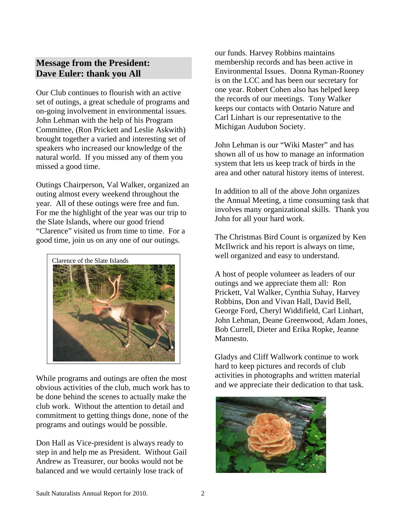# **Message from the President: Dave Euler: thank you All**

Our Club continues to flourish with an active set of outings, a great schedule of programs and on-going involvement in environmental issues. John Lehman with the help of his Program Committee, (Ron Prickett and Leslie Askwith) brought together a varied and interesting set of speakers who increased our knowledge of the natural world. If you missed any of them you missed a good time.

Outings Chairperson, Val Walker, organized an outing almost every weekend throughout the year. All of these outings were free and fun. For me the highlight of the year was our trip to the Slate Islands, where our good friend "Clarence" visited us from time to time. For a good time, join us on any one of our outings.



While programs and outings are often the most obvious activities of the club, much work has to be done behind the scenes to actually make the club work. Without the attention to detail and commitment to getting things done, none of the programs and outings would be possible.

Don Hall as Vice-president is always ready to step in and help me as President. Without Gail Andrew as Treasurer, our books would not be balanced and we would certainly lose track of

our funds. Harvey Robbins maintains membership records and has been active in Environmental Issues. Donna Ryman-Rooney is on the LCC and has been our secretary for one year. Robert Cohen also has helped keep the records of our meetings. Tony Walker keeps our contacts with Ontario Nature and Carl Linhart is our representative to the Michigan Audubon Society.

John Lehman is our "Wiki Master" and has shown all of us how to manage an information system that lets us keep track of birds in the area and other natural history items of interest.

In addition to all of the above John organizes the Annual Meeting, a time consuming task that involves many organizational skills. Thank you John for all your hard work.

The Christmas Bird Count is organized by Ken McIlwrick and his report is always on time,

A host of people volunteer as leaders of our outings and we appreciate them all: Ron Prickett, Val Walker, Cynthia Suhay, Harvey Robbins, Don and Vivan Hall, David Bell, George Ford, Cheryl Widdifield, Carl Linhart, John Lehman, Deane Greenwood, Adam Jones, Bob Currell, Dieter and Erika Ropke, Jeanne Mannesto.

Gladys and Cliff Wallwork continue to work hard to keep pictures and records of club activities in photographs and written material and we appreciate their dedication to that task.

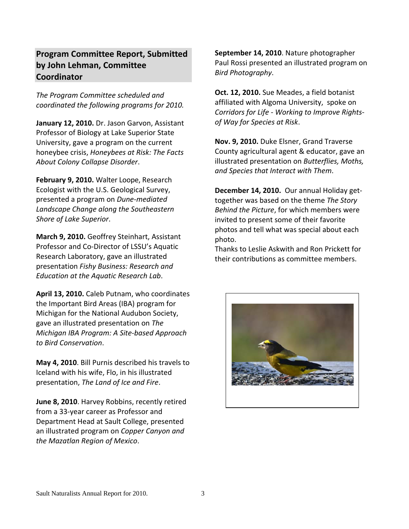# **Program Committee Report, Submitted by John Lehman, Committee Coordinator**

*The Program Committee scheduled and coordinated the following programs for 2010.*

**January 12, 2010.** Dr. Jason Garvon, Assistant Professor of Biology at Lake Superior State University, gave a program on the current honeybee crisis, *Honeybees at Risk: The Facts About Colony Collapse Disorder*.

**February 9, 2010.** Walter Loope, Research Ecologist with the U.S. Geological Survey, presented a program on *Dune‐mediated Landscape Change along the Southeastern Shore of Lake Superior*.

**March 9, 2010.** Geoffrey Steinhart, Assistant Professor and Co‐Director of LSSU's Aquatic Research Laboratory, gave an illustrated presentation *Fishy Business: Research and Education at the Aquatic Research Lab*.

**April 13, 2010.** Caleb Putnam, who coordinates the Important Bird Areas (IBA) program for Michigan for the National Audubon Society, gave an illustrated presentation on *The Michigan IBA Program: A Site‐based Approach to Bird Conservation*.

**May 4, 2010**. Bill Purnis described his travels to Iceland with his wife, Flo, in his illustrated presentation, *The Land of Ice and Fire*.

**June 8, 2010**. Harvey Robbins, recently retired from a 33‐year career as Professor and Department Head at Sault College, presented an illustrated program on *Copper Canyon and the Mazatlan Region of Mexico*.

**September 14, 2010**. Nature photographer Paul Rossi presented an illustrated program on *Bird Photography*.

**Oct. 12, 2010.** Sue Meades, a field botanist affiliated with Algoma University, spoke on *Corridors for Life ‐ Working to Improve Rights‐ of Way for Species at Risk*.

**Nov. 9, 2010.** Duke Elsner, Grand Traverse County agricultural agent & educator, gave an illustrated presentation on *Butterflies, Moths, and Species that Interact with Them*.

**December 14, 2010.** Our annual Holiday get‐ together was based on the theme *The Story Behind the Picture*, for which members were invited to present some of their favorite photos and tell what was special about each photo.

Thanks to Leslie Askwith and Ron Prickett for their contributions as committee members.

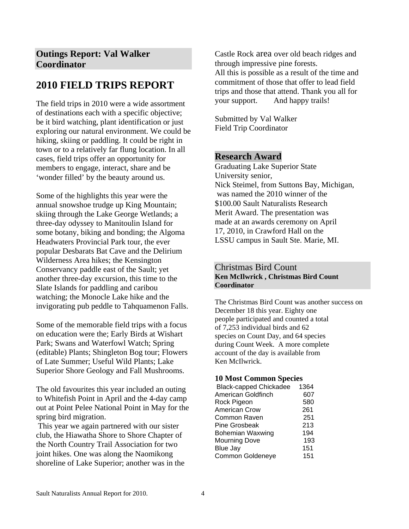# **Outings Report: Val Walker Coordinator**

# **2010 FIELD TRIPS REPORT**

The field trips in 2010 were a wide assortment of destinations each with a specific objective; be it bird watching, plant identification or just exploring our natural environment. We could be hiking, skiing or paddling. It could be right in town or to a relatively far flung location. In all cases, field trips offer an opportunity for members to engage, interact, share and be 'wonder filled' by the beauty around us.

Some of the highlights this year were the annual snowshoe trudge up King Mountain; skiing through the Lake George Wetlands; a three-day odyssey to Manitoulin Island for some botany, biking and bonding; the Algoma Headwaters Provincial Park tour, the ever popular Desbarats Bat Cave and the Delirium Wilderness Area hikes; the Kensington Conservancy paddle east of the Sault; yet another three-day excursion, this time to the Slate Islands for paddling and caribou watching; the Monocle Lake hike and the invigorating pub peddle to Tahquamenon Falls.

Some of the memorable field trips with a focus on education were the; Early Birds at Wishart Park; Swans and Waterfowl Watch; Spring (editable) Plants; Shingleton Bog tour; Flowers of Late Summer; Useful Wild Plants; Lake Superior Shore Geology and Fall Mushrooms.

The old favourites this year included an outing to Whitefish Point in April and the 4-day camp out at Point Pelee National Point in May for the spring bird migration.

 This year we again partnered with our sister club, the Hiawatha Shore to Shore Chapter of the North Country Trail Association for two joint hikes. One was along the Naomikong shoreline of Lake Superior; another was in the Castle Rock area over old beach ridges and through impressive pine forests. All this is possible as a result of the time and commitment of those that offer to lead field trips and those that attend. Thank you all for your support. And happy trails!

Submitted by Val Walker Field Trip Coordinator

### **Research Award**

Graduating Lake Superior State University senior, Nick Steimel, from Suttons Bay, Michigan, was named the 2010 winner of the \$100.00 Sault Naturalists Research Merit Award. The presentation was made at an awards ceremony on April 17, 2010, in Crawford Hall on the LSSU campus in Sault Ste. Marie, MI.

#### Christmas Bird Count **Ken McIlwrick , Christmas Bird Count Coordinator**

The Christmas Bird Count was another success on December 18 this year. Eighty one people participated and counted a total of 7,253 individual birds and 62 species on Count Day, and 64 species during Count Week. A more complete account of the day is available from Ken McIlwrick.

#### **10 Most Common Species**

| <b>Black-capped Chickadee</b> | 1364 |
|-------------------------------|------|
| American Goldfinch            | 607  |
| Rock Pigeon                   | 580  |
| <b>American Crow</b>          | 261  |
| Common Raven                  | 251  |
| <b>Pine Grosbeak</b>          | 213  |
| <b>Bohemian Waxwing</b>       | 194  |
| <b>Mourning Dove</b>          | 193  |
| <b>Blue Jay</b>               | 151  |
| Common Goldeneye              | 151  |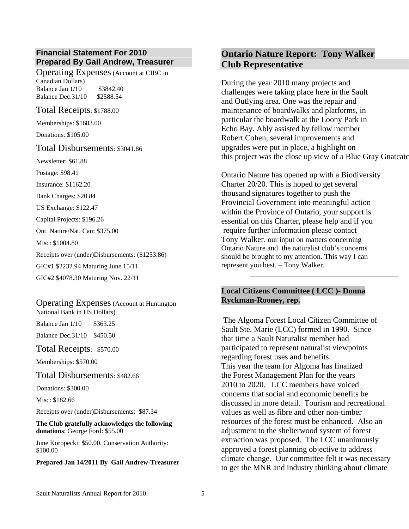#### **Financial Statement For 2010 Prepared By Gail Andrew, Treasurer**

Operating Expenses (Account at CIBC in Canadian Dollars) Balance Jan 1/10 \$3842.40 Balance Dec.31/10 \$2588.54

Total Receipts: \$1788.00

Memberships: \$1683.00

Donations: \$105.00

#### Total Disbursements: \$3041.86

Newsletter: \$61.88

Postage: \$98.41

Insurance: \$1162.20

Bank Charges: \$20.84

US Exchange: \$122.47

Capital Projects: \$196.26

Ont. Nature/Nat. Can: \$375.00

Misc: \$1004.80

Receipts over (under)Disbursements: (\$1253.86)

GIC#1 \$2232.94 Maturing June 15/11

GIC#2 \$4078.30 Maturing Nov. 22/11

#### Operating Expenses (Account at Huntington National Bank in US Dollars)

Balance Jan 1/10 \$363.25 Balance Dec.31/10 \$450.50

Total Receipts: \$570.00

Memberships: \$570.00

Total Disbursements: \$482.66

Donations: \$300.00

Misc: \$182.66

Receipts over (under)Disbursements: \$87.34

**The Club gratefully acknowledges the following donations**: George Ford: \$55.00

June Koropecki: \$50.00. Conservation Authority: \$100.00

#### **Prepared Jan 14/2011 By Gail Andrew-Treasurer**

# **Ontario Nature Report: Tony Walker Club Representative**

During the year 2010 many projects and challenges were taking place here in the Sault and Outlying area. One was the repair and maintenance of boardwalks and platforms, in particular the boardwalk at the Loony Park in Echo Bay. Ably assisted by fellow member Robert Cohen, several improvements and upgrades were put in place, a highlight on this project was the close up view of a Blue Gray Gnatcatc

Ontario Nature has opened up with a Biodiversity Charter 20/20. This is hoped to get several thousand signatures together to push the Provincial Government into meaningful action within the Province of Ontario, your support is essential on this Charter, please help and if you require further information please contact Tony Walker. our input on matters concerning Ontario Nature and the naturalist club's concerns should be brought to my attention. This way I can represent you best. – Tony Walker.

#### **Local Citizens Committee ( LCC )- Donna Ryckman-Rooney, rep.**

 The Algoma Forest Local Citizen Committee of Sault Ste. Marie (LCC) formed in 1990. Since that time a Sault Naturalist member had participated to represent naturalist viewpoints regarding forest uses and benefits. This year the team for Algoma has finalized the Forest Management Plan for the years 2010 to 2020. LCC members have voiced concerns that social and economic benefits be discussed in more detail. Tourism and recreational values as well as fibre and other non-timber resources of the forest must be enhanced. Also an adjustment to the shelterwood system of forest extraction was proposed. The LCC unanimously approved a forest planning objective to address climate change. Our committee felt it was necessary to get the MNR and industry thinking about climate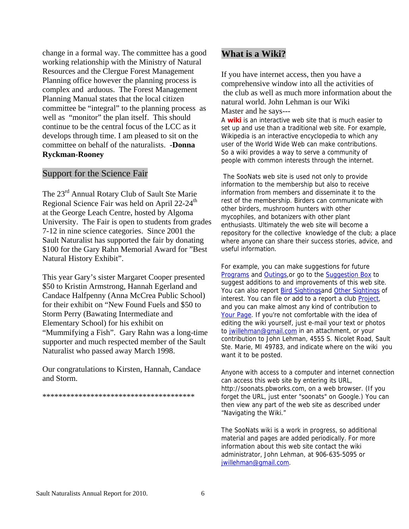change in a formal way. The committee has a good working relationship with the Ministry of Natural Resources and the Clergue Forest Management Planning office however the planning process is complex and arduous. The Forest Management Planning Manual states that the local citizen committee be "integral" to the planning process as well as "monitor" the plan itself. This should continue to be the central focus of the LCC as it develops through time. I am pleased to sit on the committee on behalf of the naturalists. -**Donna Ryckman-Rooney** 

#### Support for the Science Fair

The 23rd Annual Rotary Club of Sault Ste Marie Regional Science Fair was held on April 22-24<sup>th</sup> at the George Leach Centre, hosted by Algoma University. The Fair is open to students from g rades 7-12 in nine science categories. Since 2001 the Sault Naturalist has supported the fair by dona ting \$100 for the Gary Rahn Memorial Award for "Best Natural History Exhibit".

This year Gary's sister Margaret Cooper presented \$50 to Kristin Armstrong, Hannah Egerland and Candace Halfpenny (Anna McCrea Public School) for their exhibit on "New Found Fuels and \$50 to Storm Perry (Bawating Intermediate and Elementary School) for his exhibit on "Mummifying a Fish". Gary Rahn was a long-time supporter and much respected member of the Sault Naturalist who passed away March 1998.

Our congratulations to Kirsten, Hannah, Candace and Storm.

\*\*\*\*\*\*\*\*\*\*\*\*\*\*\*\*\*\*\*\*\*\*\*\*\*\*\*\*\*\*\*\*\*\*\*\*\*\*

#### **What is a Wiki?**

If you have internet access, then you have a comprehensive window into all the activities of the club as well as much more information about the natural world. John Lehman is our Wiki Master and he says---

A **wiki** is an interactive web site that is much easier to set up and use than a traditional web site. For e xample, Wikipedia is an interactive encyclopedia to which any user of the World Wide Web can make contribution s. So a wiki provides a way to serve a community of people with common interests through the internet.

The SooNats web site is used not only to provide information from members and disseminate it to the enthusiasts. Ultimately the web site will become a repository for the collective knowledge of the club; a place information to the membership but also to receive rest of the membership. Birders can communicate with other birders, mushroom hunters with other mycophiles, and botanizers with other plant where anyone can share their success stories, advice, and useful information.

For example, you can make suggestions for future [Programs](http://soonats.pbworks.com/Ideas-for-Future-Programs) and [Outings,](http://soonats.pbworks.com/Ideas-for-Future-Outings)or go to the [Suggestion Box](http://soonats.pbworks.com/Suggestion+Box) to suggest additions to and improvements of this web site . You can also report **[Bird Sightingsa](http://soonats.pbworks.com/Report+Bird+Sightings)nd [Other Sightings](http://soonats.pbworks.com/Report+Other+Sightings)** of interest. You can file or add to a report a club [Project,](http://soonats.pbworks.com/Projects) and you can make almost any kind of contribution to [Your Page](http://soonats.pbworks.com/Your+Page). If you're not comfortable with the idea of editing the wiki yourself, just e-mail your text or photo s to [jwillehman@gmail.com](mailto:jlehman@lssu.edu) in an attachment, or your contribution to John Lehman, 4555 S. Nicolet Road, S ault Ste. Marie, MI 49783, and indicate where on the wiki you want it to be posted.

Anyone with access to a computer and internet connection http://soonats.pbworks.com, on a web browser. (If you can access this web site by entering its URL, forget the URL, just enter "soonats" on Google.) You can then view any part of the web site as described under "Navigating the Wiki."

The SooNats wiki is a work in progress, so additional material and pages are added periodically. For more information about this web site contact the wiki administrator, John Lehman, at 906-635-5095 or [jwillehman@gmail.com.](mailto:jwillehman@gmail.com)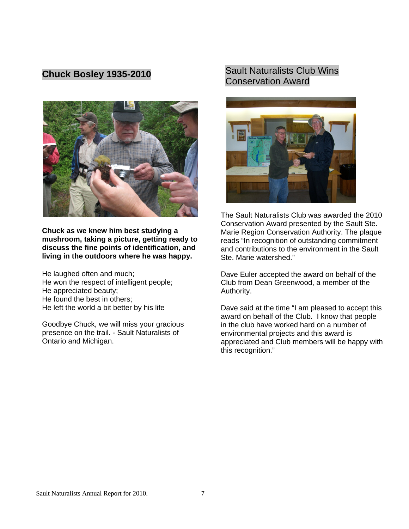# **Chuck Bosley 1935-2010**



**Chuck as we knew him best studying a y to mushroom, taking a picture, getting read discuss the fine points of identification, and living in the outdoors where he was happy.** 

He laughed often and much; He won the respect of intelligent people; He found the best in others; He left the world a bit better by his life He appreciated beauty;

Goodbye Chuck, we will miss your gracious presence on the trail. - Sault Naturalists of Ontario and Michigan.

# Sault Naturalists Club Wins Conservation Award



The Sault Naturalists Club was awarded the 2010 Conservation Award presented by the Sault Ste. Marie Region Conservation Authority. The plaque reads "In recognition of outstanding commitment and contributions to the environment in the Sault Ste. Marie watershed."

Dave Euler accepted the award on behalf of the Club from Dean Greenwood, a member of the Authority.

Dave said at the time "I am pleased to accept this appreciated and Club members will be happy with award on behalf of the Club. I know that people in the club have worked hard on a number of environmental projects and this award is this recognition."